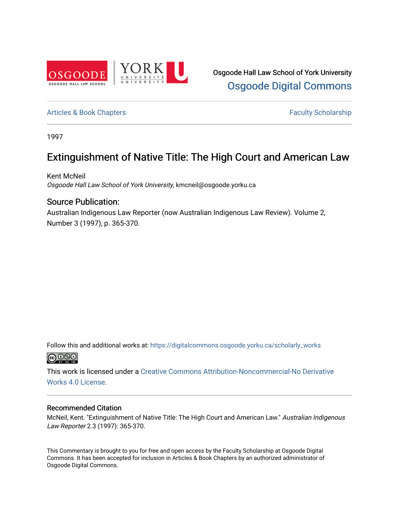

# [Articles & Book Chapters](https://digitalcommons.osgoode.yorku.ca/scholarly_works) **Faculty Scholarship Faculty Scholarship**

1997

# Extinguishment of Native Title: The High Court and American Law

Kent McNeil Osgoode Hall Law School of York University, kmcneil@osgoode.yorku.ca

# Source Publication:

Australian Indigenous Law Reporter (now Australian Indigenous Law Review). Volume 2, Number 3 (1997), p. 365-370.

Follow this and additional works at: [https://digitalcommons.osgoode.yorku.ca/scholarly\\_works](https://digitalcommons.osgoode.yorku.ca/scholarly_works?utm_source=digitalcommons.osgoode.yorku.ca%2Fscholarly_works%2F774&utm_medium=PDF&utm_campaign=PDFCoverPages)  <u>@ 0®©</u>

This work is licensed under a [Creative Commons Attribution-Noncommercial-No Derivative](https://creativecommons.org/licenses/by-nc-nd/4.0/)  [Works 4.0 License](https://creativecommons.org/licenses/by-nc-nd/4.0/).

### Recommended Citation

McNeil, Kent. "Extinguishment of Native Title: The High Court and American Law." Australian Indigenous Law Reporter 2.3 (1997): 365-370.

This Commentary is brought to you for free and open access by the Faculty Scholarship at Osgoode Digital Commons. It has been accepted for inclusion in Articles & Book Chapters by an authorized administrator of Osgoode Digital Commons.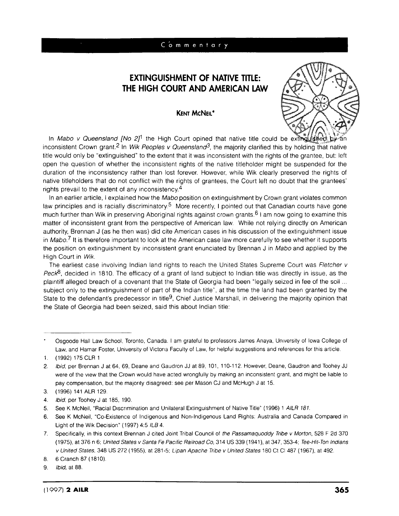## Commentary

# **EXTINGUISHMENT OF NATIVE TITLE: THE HIGH COURT AND AMERICAN LAW**





In Mabo v Queensland [No 2]<sup>1</sup> the High Court opined that native title could be extinguished, by an inconsistent Crown grant.2 In Wik Peoples v Queensland3, the majority clarified this **by** holding that native title would only be "extinguished" to the extent that it was inconsistent with the rights of the grantee, but: left open the question of whether the inconsistent rights of the native titleholder might be suspended for the duration of the inconsistency rather than lost forever. However, while Wik clearly preserved the rights of native titleholders that do not conflict with the rights of grantees, the Court left no doubt that the grantees' rights prevail to the extent of any inconsistency.4

In an earlier article, **I** explained how the Mabo position on extinguishment **by** Crown grant violates common law principles and is racially discriminatory.5 More recently, **I** pointed out that Canadian courts have gone much further than Wik in preserving Aboriginal rights against crown grants.6 **I** am now going to examine this matter of inconsistent grant from the perspective of American law. While not relying directly on American authority, Brennan **J** (as he then was) did cite American cases in his discussion of the extinguishment issue in Mabo.<sup>7</sup> It is therefore important to look at the American case law more carefully to see whether it supports the position on extinguishment **by** inconsistent grant enunciated **by** Brennan **J** in Mabo and applied **by** the High Court in Wik.

The earliest case involving Indian land rights to reach the United States Supreme Court was Fletcher v Peck<sup>8</sup> , decided in **1810.** The efficacy of a grant of land subject to Indian title was directly in issue, as the plaintiff alleged breach of a covenant that the State of Georgia had been 'legally seized in fee of the soil.. subject only to the extinguishment of part of the Indian title", at the time the land had been granted **by** the State to the defendant's predecessor in title<sup>9</sup>, Chief Justice Marshall, in delivering the majority opinion that the State of Georgia had been seized, said this about Indian title:

Osgoode Hall Law School, Toronto, Canada. **I** am grateful to professors James Anaya, University of Iowa College of Law, and Hamar Foster, University of Victoria Faculty of Law, for helpful suggestions and references for this article,

**<sup>1. (1992) 175</sup>** CLR **1**

<sup>2.</sup> Ibid, per Brennan **J** at 64, **69,** Deane and Gaudron **JJ** at **89, 101,** 110-112. However, Deane, Gaudron and Toohey **JJ** were of the view that the Crown would have acted wrongfully **by** making an inconsistent grant, and might be liable to pay compensation, but the majority disagreed: see per Mason **CJ** and McHugh **J** at **15.**

**<sup>3. (1996)</sup>** 141 ALR **129.**

<sup>4.</sup> *lbid,* per Toohey **J** at **185, 190.**

**<sup>5.</sup>** See K McNeil, "Racial Discrimination and Unilateral Extinguishment of Native Title" **(1996) 1** AILR **181.**

**<sup>6.</sup>** See K McNeil, "Co-Existence of indigenous and Non-Indigenous Land Rights. Australia and Canada Compared in Light of the Wik Decision" **(1997)** 4:5 ILB 4.

**<sup>7.</sup>** Specifically, in this context Brennan **J** cited Joint Tribal Council of the Passamaquoddy Tribe v Morton, **528** F **2d 370 (1975),** at **376** n **6;** Unit ed States v Sanfa Fe Pacific Railroad Co, 314 **US 339** (1941), at 347, 353-4; Tee-Hit-Ton Indians v United States, 348 **US 272 (1955),** at **281-5;** Lipan Apache Tribe v United States **180** Ct **Cl 487 (1967),** at 492.

**<sup>8. 6</sup>** Cranch **87 (1810).**

**<sup>9.</sup>** Ibid, at **88.**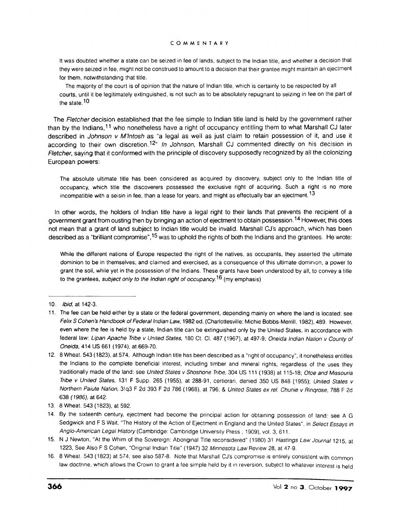### **CO0M ME NT AR** Y

It was doubted whether a state can be seized in fee of lands, subject to the Indian title, and whether a decision that they were seized in fee, might not be construed to amount to a decision that their grantee might maintain an ejectment for them, notwithstanding that title.

The majority of the court is of opinion that the nature of Indian title, which is certainly to be respected **by** all courts, until it be legitimately extinguished, is not such as to be absolutely repugnant to seizing in fee on the part of the state. **<sup>10</sup>**

The F/etcher decision established that the fee simple to Indian title land is held **by** the government rather than **by** the Indians,1 **1** who nonetheless have a right of occupancy entitling them to what Marshall **CJ** later described in Johnson v M'Intosh as "a legal as well as just claim to retain possession of it, and use it according to their own discretion.12" In Johnson, Marshall **CJ** commented directly on his decision in Fletcher, saying that it conformed with the principle of discovery supposedly recognized **by** all the colonizing European powers:

The absolute ultimate title has been considered as acquired **by** discovery, subject only to the Indian title of occupancy, which title the discoverers possessed the exclusive right of acquiring. Such a right is no more incompatible with a seisin in fee, than a lease for years, and might as effectually bar an ejectment.<sup>13</sup>

In other words, the holders of Indian title have a legal right to their lands that prevents the recipient of a government grant from ousting then **by** bringing an action of ejectment to obtain possession. 14 However, this does not mean that a grant of land subject to Indian title would be invalid. Marshall CJ's approach, which has been described as a "brilliant compromise", <sup>15</sup> was to uphold the rights of both the Indians and the grantees. He wrote:

While the different nations of Europe respected the right of the natives, as occupants, they asserted the ultimate dominion to be in themselves; and claimed and exercised, as a consequence of this ultimate dominion, a power to grant the soil, while yet in the possession of the Indians. These grants have been understood **by** all, to convey a title to the grantees, subject only to the Indian right of occupancy.<sup>16</sup> (my emphasis)

**<sup>10.</sup>** Ibid, at 142-3.

**<sup>11.</sup>** The fee can be held either **by** a state or the federal government, depending mainly on where the land is located: see Felix S Cohen's Handbook of Federal Indian Law, 1982 ed. (Charlottesville: Michie Bobbs-Merrill, 1982), 489. However, even where the fee is held **by** a state, Indian title can be extinguished only **by** the United States, in accordance with federal law: Lipan Apache Tribe v United States, **180** Ct. **Cl. 487 (1967),** at **497-9;** Oneida Indian Nation v County of Oneida, 414 **US 661** (1974), at **669-70.**

<sup>12.</sup> **8** Wheat. 543 **(1823),** at 574, Although Indian title has been described as a 'right of occupancy", it nonetheless entitles the Indians to the complete beneficial interest, including timber and mineral rights, regardless of the uses they traditionally made of the land: see United States v Shoshone TrIbe, 304 **US 111 (1938)** at **115-18:** Otoe and Missouria Tribe v United States, **131** F Supp. **265 (1955),** at **288-91,** certiorari, denied **350 US 848 (1955):** United States v Northern Paiute Nafion, **3!q3** F **2d 393** F **2d 786 (1968),** at **796, &** United States ex rel. Chunie v Rinqrose, **788** F **2d 638 (1986),** at 642.

**<sup>13. 8</sup>** Wheat. 543 **(1823),** at **592.**

<sup>14.</sup> **By** the sixteenth century, ejectment had become the principal action for obtaining possession of land: see **A G** Sedgwick and F S Wait, "The History of the Action of Ejectment in England and the United States", in Select Essays in Anglo-American Legal History (Cambridge: Cambridge University Press **,1909),** vol. **3, 611.**

**<sup>15.</sup> N J** Newton, "At the Whim of the Sovereign. Aboriginal Title reconsidered" **(1980) 31** Hastings Law Journal **1215,** at **1223,** See Also F **S** Cohen, "Original Indian Title" (1947) **32** Minnesota Law Review **28,** at 47-9.

**<sup>16. 8</sup>** Wheat. 543 **(1823)** at 574, see also **587-8.** Note that Marshall CJ's compromise is entirely consistent with common law doctrine, which allows the Crown to grant a fee simple held **by it** in reversion, subject to whatever interest is held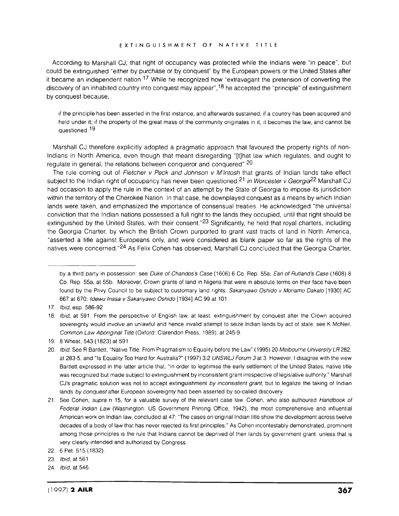#### **E XT IN G UIS H ME NT O F N AT IVE T IT LE**

According to Marshall **CJ,** that right of occupancy was protected while the Indians were "in peace', but could be extinguished "either **by** purchase or **by** conquest" **by** the European powers or the United States after it became an independent nation.<sup>17</sup> While he recognized how "extravagant the pretension of converting the discovery of an inhabited country into conquest may appear", <sup>18</sup> he accepted the "principle" of extinguishment **by** conquest because,

if the principle has been asserted in the first instance, and afterwards sustained; if a country has been acquired and held under it; if the property of the great mass of the community originates in it, it becomes the law, and cannot be questioned. **<sup>19</sup>**

Marshall **CJ** therefore explicitly adopted a pragmatic approach that favoured the property rights of non-Indians in North America, even though that meant disregarding "[t]hat law which regulates, and ought to regulate in general, the relations between conqueror and conquered" <sup>20</sup>

The rule coming out of Fletcher v Peck and Johnson v M'Intosh that grants of Indian lands take effect subject to the Indian right of occupancy has never been questioned.21 in Worcester v Georgia22 Marshall **CJ** had occasion to apply the rule in the context of an attempt **by** the State of Georgia to impose its jurisdiction within the territory of the Cherokee Nation. In that case, he downplayed conquest as a means **by** which Indian lands were taken, and emphasized the importance of consensual treaties. He acknowledged "the universal conviction that the Indian nations possessed a full right to the lands they occupied, until that right should be extinguished by the United States, with their consent."<sup>23</sup> Significantly, he held that royal charters, including the Georgia Charter, **by** which the British Crown purported to grant vast tracts of land in North America, "asserted a title against Europeans only, and were considered as blank paper so far as the rights of the natives were concerned" 24 As Felix Cohen has observed, Marshall **CJ** concluded that the Georgia Charter,

**by** a third party in possession: see *Duke* of Chandos's Case **(1606) 6** Co. Rep. 55a; Earl of Rutland's Case **(1608) 8** Co. Rep. 55a, at **55b.** Moreover, Crown grants of land in Nigeria that were in absolute terms on their face have been found **by** the Privy Council to be subject to customary land rights: Sakariyawo Oshido v Moriamo Cakalo **[1930] AC 667** at **670:** ldewu lnasa v Sakariyawo Oshido [1934] **AC 99** at **101.**

**<sup>17.</sup>** Ibid, esp. **586-92**

**<sup>18.</sup>** Ibid, at **591.** From the perspective of English law, at least, extinguishment **by** conquest after the Crown acquired sovereignty would involve an unlawful and hence invalid attempt to seize Indian lands **by** act of state. see K McNeil, Common Law Aboriginal Title (Oxford: Clarendon Press, **1989),** at 245-9.

**<sup>19. 8</sup>** Wheat, 543 **(1823)** at **591.**

<sup>20.</sup> Ibid. See R Bartlett, "Native Title. From Pragmatism to Equality before the Law" **(1995)** 20 Melbourne University **Lfl282,** at **283-5,** and "Is Equality Too Hard for Australia?" **(1997) 3:2 UNSWLJ** Forum **3** at **3.** However, **I** disagree with the view Bartlett expressed in the latter article that, "in order to legitimise the early settlement of the United States, native title was recognized but made subject to extinguishment **by** inconsistent grant irrespective of legislative authority." Marshall CJ's pragmatic solution was not to accept extinguishment **by** inconsistent grant, but to legalize the taking of Indian lands **by** conquest after European sovereignty had been asserted **by** so-called discovery.

<sup>21.</sup> See Cohen, supra n **15,** for a valuable survey of the relevant case law. Cohen, who also authoured Handbook of Federal Indian Law (Washington: **US** Government Printing Office, 1942), the most comprehensive and influential American work on Indian law, concluded at 47: "The cases on original Indian title show the development across twelve decades of a body of law that has never rejected its first principles." As Cohen incontestably demonstrated, prominent among those principles is the rule that Indians cannot be deprived of their lands **by** government grant unless that is very clearly intended and authorized **by** Congress.

<sup>22. 6</sup>Pet. **515 (1832).**

**<sup>23.</sup>** Ibid, at **561**

<sup>24.</sup> Ibid, at 546.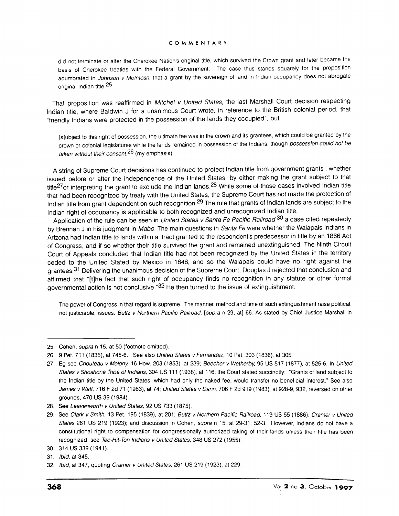### **CO0M ME NT AR Y**

did not terminate or alter the Cherokee Nation's original title, which survived the Crown grant and later became the basis of Cherokee treaties with the Federal Government. The case thus stands squarely for the proposition adumbrated in Johnson v McIntosh, that a grant **by** the sovereign of land in Indian occupancy does not abrogate original Indian title.25

That proposition was reaffirmed in Mitchel v United States, the last Marshall Court decision respecting Indian title, where Baldwin **J** for a unanimous Court wrote, in reference to the British colonial period, that "friendly Indians were protected in the possession of the lands they occupied", but

[slubject to this right of possession, the ultimate fee was in the crown and its grantees, which could be granted **by** the crown or colonial legislatures while the lands remained in possession of the Indians, though possession could not be taken without their consent.<sup>26</sup> (my emphasis)

**A** string of Supreme Court decisions has continued to protect Indian title from government grants **,** whether issued before or after the independence of the United States, **by** either making the grant subject to that title<sup>27</sup>or interpreting the grant to exclude the Indian lands.<sup>28</sup> While some of those cases involved Indian title that had been recognized **by** treaty with the United States, the Supreme Court has not made the protection of Indian title from grant dependent on such recognition. 29 The rule that grants of Indian lands are subject to the Indian right of occupancy is applicable to both recognized and unrecognized Indian title.

Application of the rule can be seen in *United States v Santa Fe Pacific Railroad*,<sup>30</sup> a case cited repeatedly **by** Brennan **J** in his judgment in Mabo. The main questions in Santa Fe were whether the Walapais Indians in Arizona had Indian title to lands within a tract granted to the respondent's predecessor in title **by** an **1866** Act of Congress, and if so whether their title survived the grant and remained unextinguished. The Ninth Circuit Court of Appeals concluded that Indian title had not been recognized **by** the United States in the territory ceded to the United Stated **by** Mexico in **1848,** and so the Walapais could have no right against the grantees.<sup>3</sup> 1 Delivering the unanimous decision of the Supreme Court, Douglas **J** rejected that conclusion and affirmed that "[t]he fact that such right of occupancy finds no recognition in any statute or other formal governmental action is not conclusive."32 He then turned to the issue of extinguishment:

The power of Congress in that regard is supreme. The manner, method and time of such extinguishment raise political, not justiciable, issues. Buttz v Northern Pacific Railroad, [supra n **29,** at] **66.** As stated **by** Chief Justice Marshall in

**<sup>25.</sup>** Cohen, supra n **15,** at **50** (footnote omitted).

**<sup>26. 9</sup>** Pet. **711 (1835),** at **745-6.** See also United States v Fernandez, **10** Pat, **303 (1836).** at **305.**

**<sup>27.</sup> Eg** see Chouteau v Molony, **16** How, **203 (1853),** at **239;** Beecher v Wetherby **95 US 517 (1877),** at **525-6.** In United States vShoshone Tribe of Indians, 304 **US 111 (1938),** at **116,** the Court stated succinctly: "Grants of land subject to the Indian title **by** the United States, which had only the naked fee, would transfer no beneficial interest." See also James v Watt, **716** F **2d 71 (1983),** at 74; United States v Dann, **706** F **2d 919 (1983),** at **928-9, 932,** reversed on other grounds, 470 **US 39** (1984).

**<sup>28.</sup>** See Leavenworth v United States, **92 US 733 (1875).**

**<sup>29.</sup>** See Clark v Smith, **13** Pet. **195 (1839),** at 201; Buttz v Northern Pacific Railroad, **119 US 55 (1886),** Cramer v United States **261 US 219 (1923);** and discussion in Cohen, supra n **15,** at **29-31, 52-3.** However, Indians do not have a constitutional right to compensation for congressionally authorized taking of their lands unless their title has been recognized: see Tee-Hit-Ton Indians v United States, 348 **US 272 (1955).**

**<sup>30.</sup>** 314 **US 339** (1941).

**<sup>31.</sup>** Ibid, at 345.

**<sup>32.</sup>** Ibid. at 347, quoting Cramer v United States, **261 US 219 (1923),** at **229.**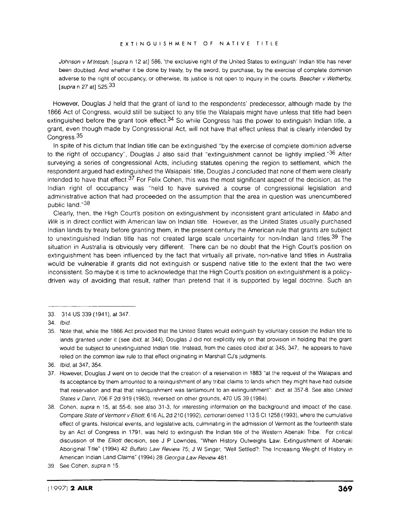Johnson v M'Intosh, [supra n 12 at] 586, 'the exclusive right of the United States to extinguish' Indian title has never been doubted. And whether it be done **by** treaty, **by** the sword, **by** purchase, **by** the exercise of complete dominion adverse to the right of occupancy, or otherwise, its justice is not open to inquiry in the courts. Beecher v Wetherby, [supra n **27** at] **525.33**

However, Douglas **J** held that the grant of land to the respondents' predecessor, although made **by** the **1866** Act of Congress, would still be subject to any title the Walapais might have unless that title had been extinguished before the grant took effect.<sup>34</sup> So while Congress has the power to extinguish Indian title, a grant, even though made **by** Congressional Act, will not have that effect unless that is clearly intended **by** Congress.<sup>35</sup>

In spite of his dictum that Indian title can be extinguished **"by** the exercise of complete dominion adverse to the right of occupancy", Douglas **J** also said that "extinguishment cannot be lightly implied." 36 After surveying a series of congressional Acts, including statutes opening the region to settlement, which the respondent argued had extinguished the Walapais' title, Douglas **J** concluded that none of them were clearly intended to have that effect.<sup>37</sup> For Felix Cohen, this was the most significant aspect of the decision, as the Indian right of occupancy was "held to have survived a course of congressional legislation and administrative action that had proceeded on the assumption that the area in question was unencumbered public land." **<sup>38</sup>**

Clearly, then, the High Court's position on extinguishment **by** inconsistent grant articulated in Mabo and Wik is in direct conflict with American law on Indian title. However, as the United States usually purchased Indian lands **by** treaty before granting them, in the present century the American rule that grants are subject to unextinguished Indian title has not created large scale uncertainty for non-Indian land titles.<sup>39</sup> The situation in Australia is obviously very different. There can be no doubt that the High Court's position on extinguishment has been influenced **by** the fact that virtually all private, non-native land titles in Australia would be vulnerable if grants did not extinguish or suspend native title to the extent that the two were inconsistent. So maybe it is time to acknowledge that the High Court's position on extinguishment is a policydriven way of avoiding that result, rather than pretend that it is supported **by** legal doctrine. Such an

**<sup>33.</sup>** 314 **US 339** (1941), at 347.

<sup>34.</sup> Ibid.

**<sup>35.</sup>** Note that, while the **1866** Act provided that the United States would extinguish **by** voluntary cession the Indian title to lands granted under it (see ibid, at 344), Douglas **J** did not explicitly rely on that provision in holding that the grant would be subject to unextinguished Indian title. Instead, from the cases cited *ibid* at 345, 347, he appears to have relied on the common law rule to that effect originating in Marshall CJ's judgments.

**<sup>36.</sup>** Ibid, at 347, 354.

**<sup>37.</sup>** However, Douglas **J** went on to decide that the creation of a reservation in **1883** "at the request of the Walapais and its acceptance **by** them amounted to a relinquishment of any tribal claims to lands which they might have had outside that reservation and that that relinquishment was tantamount to an extinguishment": ibid, at **357-8.** See also United States v Dann, **706** F **2d 919 (1983).** reversed on other grounds, 470 **US 39** (1984).

**<sup>38.</sup>** Cohen, supra n **15,** at **55-6;** see also **31-3,** for interesting information on the background and impact of the case. Compare State of Vermont v Elliott, **616 AL 2d** 210 **(1992),** certiorari denied **113 S** Ct **1258 (1993),** where the cumulative effect of grants, historical events, and legislative acts, culminating in the admission of Vermont as the fourteenth state **by** an Act of Congress in **1791,** was held to extinguish the Indian title of the Western Abenaki Tribe. For critical discussion of the Elliott decision, see **J** P Lowndes, "When History Outweighs Law: Extinguishment of Abenaki Aboriginal Title" (1994) 42 Buffalo Law Review **75; J** W Singer, "Well Settled?: The Increasing Weight of History in American Indian Land Claims" (1994) **28** Georgia Law Review 481.

**<sup>39.</sup>** See Cohen, supra n **15.**